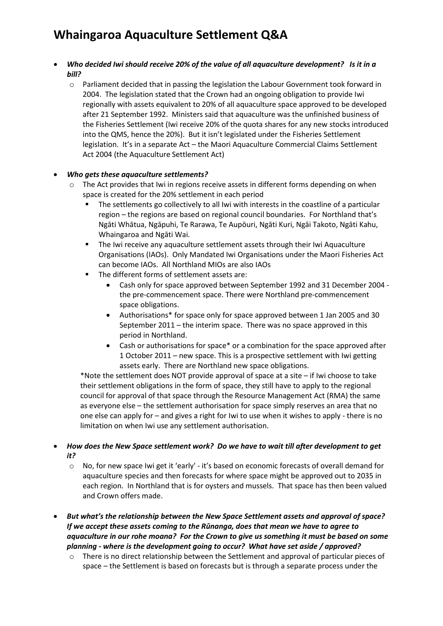- *Who decided Iwi should receive 20% of the value of all aquaculture development? Is it in a bill?*
	- o Parliament decided that in passing the legislation the Labour Government took forward in 2004. The legislation stated that the Crown had an ongoing obligation to provide Iwi regionally with assets equivalent to 20% of all aquaculture space approved to be developed after 21 September 1992. Ministers said that aquaculture was the unfinished business of the Fisheries Settlement (Iwi receive 20% of the quota shares for any new stocks introduced into the QMS, hence the 20%). But it isn't legislated under the Fisheries Settlement legislation. It's in a separate Act – the Maori Aquaculture Commercial Claims Settlement Act 2004 (the Aquaculture Settlement Act)

#### • *Who gets these aquaculture settlements?*

- o The Act provides that Iwi in regions receive assets in different forms depending on when space is created for the 20% settlement in each period
	- The settlements go collectively to all Iwi with interests in the coastline of a particular region – the regions are based on regional council boundaries. For Northland that's Ngāti Whātua, Ngāpuhi, Te Rarawa, Te Aupōuri, Ngāti Kuri, Ngāi Takoto, Ngāti Kahu, Whaingaroa and Ngāti Wai.
	- **The Iwi receive any aquaculture settlement assets through their Iwi Aquaculture** Organisations (IAOs). Only Mandated Iwi Organisations under the Maori Fisheries Act can become IAOs. All Northland MIOs are also IAOs
	- The different forms of settlement assets are:
		- Cash only for space approved between September 1992 and 31 December 2004 the pre-commencement space. There were Northland pre-commencement space obligations.
		- Authorisations\* for space only for space approved between 1 Jan 2005 and 30 September 2011 – the interim space. There was no space approved in this period in Northland.
		- Cash or authorisations for space\* or a combination for the space approved after 1 October 2011 – new space. This is a prospective settlement with Iwi getting assets early. There are Northland new space obligations.

\*Note the settlement does NOT provide approval of space at a site – if Iwi choose to take their settlement obligations in the form of space, they still have to apply to the regional council for approval of that space through the Resource Management Act (RMA) the same as everyone else – the settlement authorisation for space simply reserves an area that no one else can apply for – and gives a right for Iwi to use when it wishes to apply - there is no limitation on when Iwi use any settlement authorisation.

#### • *How does the New Space settlement work? Do we have to wait till after development to get it?*

- o No, for new space Iwi get it 'early' it's based on economic forecasts of overall demand for aquaculture species and then forecasts for where space might be approved out to 2035 in each region. In Northland that is for oysters and mussels. That space has then been valued and Crown offers made.
- *But what's the relationship between the New Space Settlement assets and approval of space? If we accept these assets coming to the Rūnanga, does that mean we have to agree to aquaculture in our rohe moana? For the Crown to give us something it must be based on some planning - where is the development going to occur? What have set aside / approved?* 
	- o There is no direct relationship between the Settlement and approval of particular pieces of space – the Settlement is based on forecasts but is through a separate process under the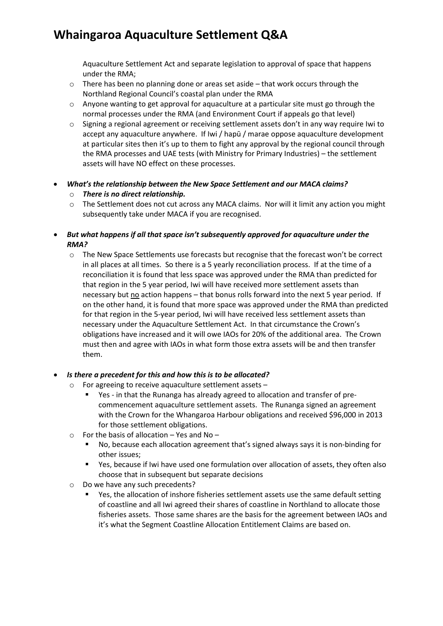Aquaculture Settlement Act and separate legislation to approval of space that happens under the RMA;

- $\circ$  There has been no planning done or areas set aside that work occurs through the Northland Regional Council's coastal plan under the RMA
- $\circ$  Anyone wanting to get approval for aquaculture at a particular site must go through the normal processes under the RMA (and Environment Court if appeals go that level)
- o Signing a regional agreement or receiving settlement assets don't in any way require Iwi to accept any aquaculture anywhere. If Iwi / hapū / marae oppose aquaculture development at particular sites then it's up to them to fight any approval by the regional council through the RMA processes and UAE tests (with Ministry for Primary Industries) – the settlement assets will have NO effect on these processes.
- *What's the relationship between the New Space Settlement and our MACA claims?*
	- o *There is no direct relationship.*
	- $\circ$  The Settlement does not cut across any MACA claims. Nor will it limit any action you might subsequently take under MACA if you are recognised.

#### • *But what happens if all that space isn't subsequently approved for aquaculture under the RMA?*

o The New Space Settlements use forecasts but recognise that the forecast won't be correct in all places at all times. So there is a 5 yearly reconciliation process. If at the time of a reconciliation it is found that less space was approved under the RMA than predicted for that region in the 5 year period, Iwi will have received more settlement assets than necessary but no action happens – that bonus rolls forward into the next 5 year period. If on the other hand, it is found that more space was approved under the RMA than predicted for that region in the 5-year period, Iwi will have received less settlement assets than necessary under the Aquaculture Settlement Act. In that circumstance the Crown's obligations have increased and it will owe IAOs for 20% of the additional area. The Crown must then and agree with IAOs in what form those extra assets will be and then transfer them.

#### • *Is there a precedent for this and how this is to be allocated?*

- o For agreeing to receive aquaculture settlement assets
	- Yes in that the Runanga has already agreed to allocation and transfer of precommencement aquaculture settlement assets. The Runanga signed an agreement with the Crown for the Whangaroa Harbour obligations and received \$96,000 in 2013 for those settlement obligations.
- $\circ$  For the basis of allocation Yes and No
	- No, because each allocation agreement that's signed always says it is non-binding for other issues;
	- Yes, because if Iwi have used one formulation over allocation of assets, they often also choose that in subsequent but separate decisions
- o Do we have any such precedents?
	- Yes, the allocation of inshore fisheries settlement assets use the same default setting of coastline and all Iwi agreed their shares of coastline in Northland to allocate those fisheries assets. Those same shares are the basis for the agreement between IAOs and it's what the Segment Coastline Allocation Entitlement Claims are based on.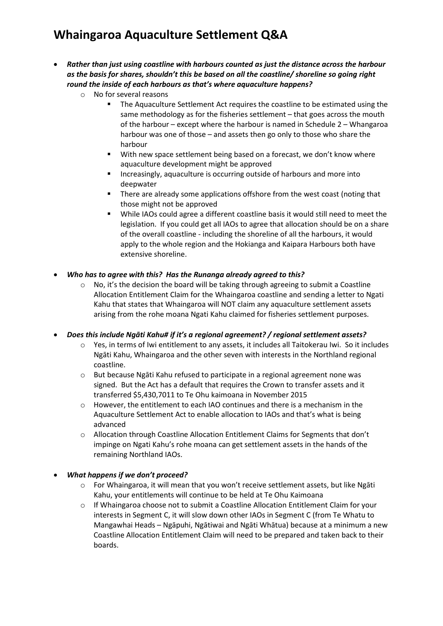- *Rather than just using coastline with harbours counted as just the distance across the harbour as the basis for shares, shouldn't this be based on all the coastline/ shoreline so going right round the inside of each harbours as that's where aquaculture happens?*
	- o No for several reasons
		- **The Aquaculture Settlement Act requires the coastline to be estimated using the** same methodology as for the fisheries settlement – that goes across the mouth of the harbour – except where the harbour is named in Schedule 2 – Whangaroa harbour was one of those – and assets then go only to those who share the harbour
		- **With new space settlement being based on a forecast, we don't know where** aquaculture development might be approved
		- Increasingly, aquaculture is occurring outside of harbours and more into deepwater
		- **There are already some applications offshore from the west coast (noting that** those might not be approved
		- While IAOs could agree a different coastline basis it would still need to meet the legislation. If you could get all IAOs to agree that allocation should be on a share of the overall coastline - including the shoreline of all the harbours, it would apply to the whole region and the Hokianga and Kaipara Harbours both have extensive shoreline.
- *Who has to agree with this? Has the Runanga already agreed to this?* 
	- $\circ$  No, it's the decision the board will be taking through agreeing to submit a Coastline Allocation Entitlement Claim for the Whaingaroa coastline and sending a letter to Ngati Kahu that states that Whaingaroa will NOT claim any aquaculture settlement assets arising from the rohe moana Ngati Kahu claimed for fisheries settlement purposes.

• *Does this include Ngāti Kahu# if it's a regional agreement? / regional settlement assets?*

- o Yes, in terms of Iwi entitlement to any assets, it includes all Taitokerau Iwi. So it includes Ngāti Kahu, Whaingaroa and the other seven with interests in the Northland regional coastline.
- o But because Ngāti Kahu refused to participate in a regional agreement none was signed. But the Act has a default that requires the Crown to transfer assets and it transferred \$5,430,7011 to Te Ohu kaimoana in November 2015
- o However, the entitlement to each IAO continues and there is a mechanism in the Aquaculture Settlement Act to enable allocation to IAOs and that's what is being advanced
- o Allocation through Coastline Allocation Entitlement Claims for Segments that don't impinge on Ngati Kahu's rohe moana can get settlement assets in the hands of the remaining Northland IAOs.

### • *What happens if we don't proceed?*

- o For Whaingaroa, it will mean that you won't receive settlement assets, but like Ngāti Kahu, your entitlements will continue to be held at Te Ohu Kaimoana
- o If Whaingaroa choose not to submit a Coastline Allocation Entitlement Claim for your interests in Segment C, it will slow down other IAOs in Segment C (from Te Whatu to Mangawhai Heads – Ngāpuhi, Ngātiwai and Ngāti Whātua) because at a minimum a new Coastline Allocation Entitlement Claim will need to be prepared and taken back to their boards.